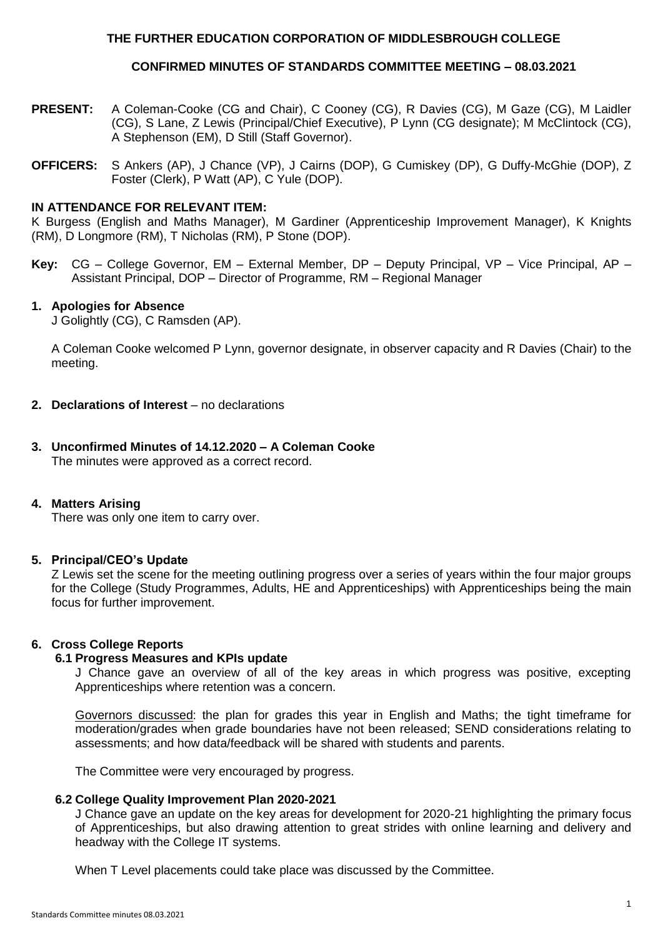## **THE FURTHER EDUCATION CORPORATION OF MIDDLESBROUGH COLLEGE**

## **CONFIRMED MINUTES OF STANDARDS COMMITTEE MEETING – 08.03.2021**

- **PRESENT:** A Coleman-Cooke (CG and Chair), C Cooney (CG), R Davies (CG), M Gaze (CG), M Laidler (CG), S Lane, Z Lewis (Principal/Chief Executive), P Lynn (CG designate); M McClintock (CG), A Stephenson (EM), D Still (Staff Governor).
- **OFFICERS:** S Ankers (AP), J Chance (VP), J Cairns (DOP), G Cumiskey (DP), G Duffy-McGhie (DOP), Z Foster (Clerk), P Watt (AP), C Yule (DOP).

## **IN ATTENDANCE FOR RELEVANT ITEM:**

K Burgess (English and Maths Manager), M Gardiner (Apprenticeship Improvement Manager), K Knights (RM), D Longmore (RM), T Nicholas (RM), P Stone (DOP).

**Key:** CG – College Governor, EM – External Member, DP – Deputy Principal, VP – Vice Principal, AP – Assistant Principal, DOP – Director of Programme, RM – Regional Manager

#### **1. Apologies for Absence**

J Golightly (CG), C Ramsden (AP).

A Coleman Cooke welcomed P Lynn, governor designate, in observer capacity and R Davies (Chair) to the meeting.

- **2. Declarations of Interest** no declarations
- **3. Unconfirmed Minutes of 14.12.2020 – A Coleman Cooke** The minutes were approved as a correct record.

### **4. Matters Arising**

There was only one item to carry over.

### **5. Principal/CEO's Update**

Z Lewis set the scene for the meeting outlining progress over a series of years within the four major groups for the College (Study Programmes, Adults, HE and Apprenticeships) with Apprenticeships being the main focus for further improvement.

### **6. Cross College Reports**

#### **6.1 Progress Measures and KPIs update**

J Chance gave an overview of all of the key areas in which progress was positive, excepting Apprenticeships where retention was a concern.

Governors discussed: the plan for grades this year in English and Maths; the tight timeframe for moderation/grades when grade boundaries have not been released; SEND considerations relating to assessments; and how data/feedback will be shared with students and parents.

The Committee were very encouraged by progress.

#### **6.2 College Quality Improvement Plan 2020-2021**

J Chance gave an update on the key areas for development for 2020-21 highlighting the primary focus of Apprenticeships, but also drawing attention to great strides with online learning and delivery and headway with the College IT systems.

When T Level placements could take place was discussed by the Committee.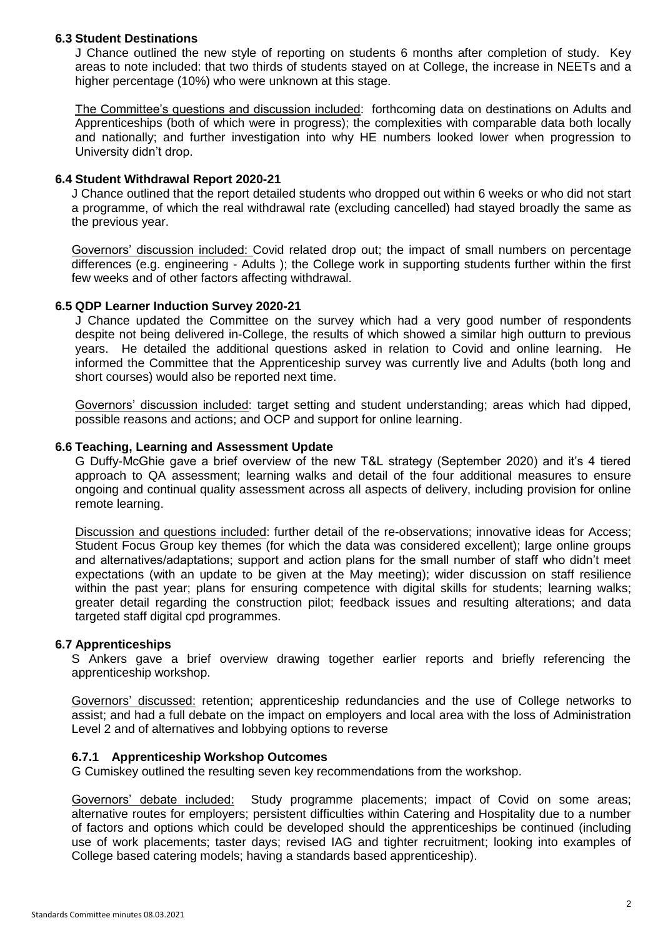## **6.3 Student Destinations**

J Chance outlined the new style of reporting on students 6 months after completion of study. Key areas to note included: that two thirds of students stayed on at College, the increase in NEETs and a higher percentage (10%) who were unknown at this stage.

The Committee's questions and discussion included: forthcoming data on destinations on Adults and Apprenticeships (both of which were in progress); the complexities with comparable data both locally and nationally; and further investigation into why HE numbers looked lower when progression to University didn't drop.

### **6.4 Student Withdrawal Report 2020-21**

J Chance outlined that the report detailed students who dropped out within 6 weeks or who did not start a programme, of which the real withdrawal rate (excluding cancelled) had stayed broadly the same as the previous year.

Governors' discussion included: Covid related drop out; the impact of small numbers on percentage differences (e.g. engineering - Adults ); the College work in supporting students further within the first few weeks and of other factors affecting withdrawal.

## **6.5 QDP Learner Induction Survey 2020-21**

J Chance updated the Committee on the survey which had a very good number of respondents despite not being delivered in-College, the results of which showed a similar high outturn to previous years. He detailed the additional questions asked in relation to Covid and online learning. He informed the Committee that the Apprenticeship survey was currently live and Adults (both long and short courses) would also be reported next time.

Governors' discussion included: target setting and student understanding; areas which had dipped, possible reasons and actions; and OCP and support for online learning.

### **6.6 Teaching, Learning and Assessment Update**

G Duffy-McGhie gave a brief overview of the new T&L strategy (September 2020) and it's 4 tiered approach to QA assessment; learning walks and detail of the four additional measures to ensure ongoing and continual quality assessment across all aspects of delivery, including provision for online remote learning.

Discussion and questions included: further detail of the re-observations; innovative ideas for Access; Student Focus Group key themes (for which the data was considered excellent); large online groups and alternatives/adaptations; support and action plans for the small number of staff who didn't meet expectations (with an update to be given at the May meeting); wider discussion on staff resilience within the past year; plans for ensuring competence with digital skills for students; learning walks; greater detail regarding the construction pilot; feedback issues and resulting alterations; and data targeted staff digital cpd programmes.

## **6.7 Apprenticeships**

S Ankers gave a brief overview drawing together earlier reports and briefly referencing the apprenticeship workshop.

Governors' discussed: retention; apprenticeship redundancies and the use of College networks to assist; and had a full debate on the impact on employers and local area with the loss of Administration Level 2 and of alternatives and lobbying options to reverse

### **6.7.1 Apprenticeship Workshop Outcomes**

G Cumiskey outlined the resulting seven key recommendations from the workshop.

Governors' debate included: Study programme placements; impact of Covid on some areas; alternative routes for employers; persistent difficulties within Catering and Hospitality due to a number of factors and options which could be developed should the apprenticeships be continued (including use of work placements; taster days; revised IAG and tighter recruitment; looking into examples of College based catering models; having a standards based apprenticeship).